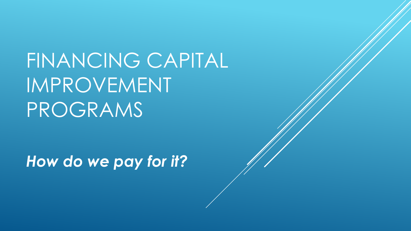FINANCING CAPITAL IMPROVEMENT PROGRAMS

*How do we pay for it?*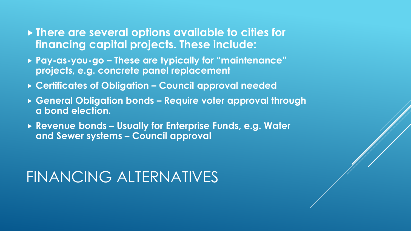- **There are several options available to cities for financing capital projects. These include:**
- **Pay-as-you-go – These are typically for "maintenance" projects, e.g. concrete panel replacement**
- **Certificates of Obligation – Council approval needed**
- **General Obligation bonds – Require voter approval through a bond election.**
- **Revenue bonds – Usually for Enterprise Funds, e.g. Water and Sewer systems – Council approval**

# FINANCING ALTERNATIVES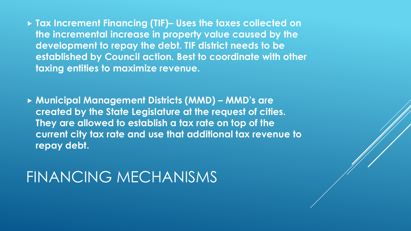**Tax Increment Financing (TIF)– Uses the taxes collected on the incremental increase in property value caused by the development to repay the debt. TIF district needs to be established by Council action. Best to coordinate with other taxing entities to maximize revenue.**

 **Municipal Management Districts (MMD) – MMD's are created by the State Legislature at the request of cities. They are allowed to establish a tax rate on top of the current city tax rate and use that additional tax revenue to repay debt.**

#### FINANCING MECHANISMS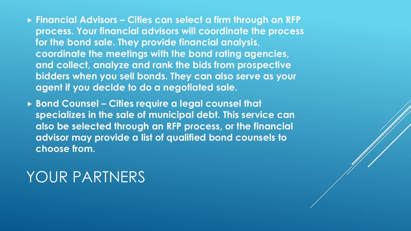- **Financial Advisors – Cities can select a firm through an RFP process. Your financial advisors will coordinate the process for the bond sale. They provide financial analysis, coordinate the meetings with the bond rating agencies, and collect, analyze and rank the bids from prospective bidders when you sell bonds. They can also serve as your agent if you decide to do a negotiated sale.**
- **Bond Counsel – Cities require a legal counsel that specializes in the sale of municipal debt. This service can also be selected through an RFP process, or the financial advisor may provide a list of qualified bond counsels to choose from.**

### YOUR PARTNERS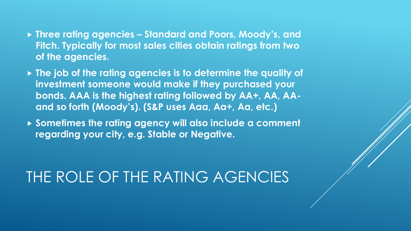- **Three rating agencies – Standard and Poors, Moody's, and Fitch. Typically for most sales cities obtain ratings from two of the agencies.**
- **The job of the rating agencies is to determine the quality of investment someone would make if they purchased your bonds. AAA is the highest rating followed by AA+, AA, AAand so forth (Moody's). (S&P uses Aaa, Aa+, Aa, etc.)**
- ▶ Sometimes the rating agency will also include a comment **regarding your city, e.g. Stable or Negative.**

## THE ROLE OF THE RATING AGENCIES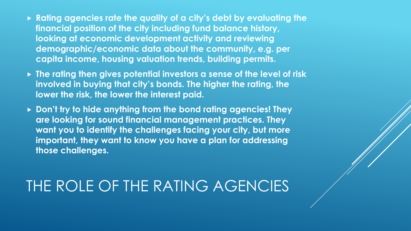- **Rating agencies rate the quality of a city's debt by evaluating the financial position of the city including fund balance history, looking at economic development activity and reviewing demographic/economic data about the community, e.g. per capita income, housing valuation trends, building permits.**
- **The rating then gives potential investors a sense of the level of risk involved in buying that city's bonds. The higher the rating, the lower the risk, the lower the interest paid.**
- **Don't try to hide anything from the bond rating agencies! They are looking for sound financial management practices. They want you to identify the challenges facing your city, but more important, they want to know you have a plan for addressing those challenges.**

# THE ROLE OF THE RATING AGENCIES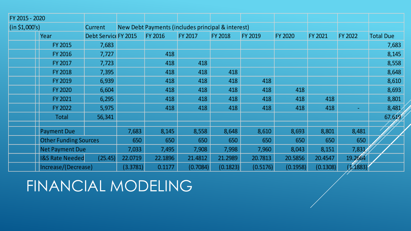| FY 2015 - 2020      |                              |                      |                                                   |                |                |                |          |          |                |         |                  |
|---------------------|------------------------------|----------------------|---------------------------------------------------|----------------|----------------|----------------|----------|----------|----------------|---------|------------------|
| (in \$1,000's)      |                              | <b>Current</b>       | New Debt Payments (includes principal & interest) |                |                |                |          |          |                |         |                  |
|                     | Year                         | Debt Service FY 2015 |                                                   | <b>FY 2016</b> | <b>FY 2017</b> | <b>FY 2018</b> | FY 2019  | FY 2020  | <b>FY 2021</b> | FY 2022 | <b>Total Due</b> |
|                     | FY 2015                      | 7,683                |                                                   |                |                |                |          |          |                |         | 7,683            |
|                     | FY 2016                      | 7,727                |                                                   | 418            |                |                |          |          |                |         | 8,145            |
|                     | FY 2017                      | 7,723                |                                                   | 418            | 418            |                |          |          |                |         | 8,558            |
|                     | <b>FY 2018</b>               | 7,395                |                                                   | 418            | 418            | 418            |          |          |                |         | 8,648            |
|                     | FY 2019                      | 6,939                |                                                   | 418            | 418            | 418            | 418      |          |                |         | 8,610            |
|                     | <b>FY 2020</b>               | 6,604                |                                                   | 418            | 418            | 418            | 418      | 418      |                |         | 8,693            |
|                     | FY 2021                      | 6,295                |                                                   | 418            | 418            | 418            | 418      | 418      | 418            |         | 8,801            |
|                     | FY 2022                      | 5,975                |                                                   | 418            | 418            | 418            | 418      | 418      | 418            | ÷       | 8,481            |
|                     | Total                        | 56,341               |                                                   |                |                |                |          |          |                |         | 67,619           |
|                     |                              |                      |                                                   |                |                |                |          |          |                |         |                  |
|                     | <b>Payment Due</b>           |                      | 7,683                                             | 8,145          | 8,558          | 8,648          | 8,610    | 8,693    | 8,801          | 8,481   |                  |
|                     | <b>Other Funding Sources</b> |                      | 650                                               | 650            | 650            | 650            | 650      | 650      | 650            | 650     |                  |
|                     | <b>Net Payment Due</b>       |                      | 7,033                                             | 7,495          | 7,908          | 7,998          | 7,960    | 8,043    | 8,151          | 7,831   |                  |
|                     | <b>I&amp;S Rate Needed</b>   | (25.45)              | 22.0719                                           | 22.1896        | 21.4812        | 21.2989        | 20.7813  | 20.5856  | 20.4547        | 19.2664 |                  |
| Increase/(Decrease) |                              | (3.3781)             | 0.1177                                            | (0.7084)       | (0.1823)       | (0.5176)       | (0.1958) | (0.1308) | (1.1883)       |         |                  |

FINANCIAL MODELING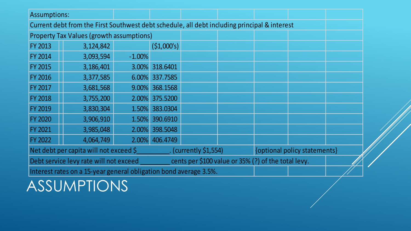| <b>Assumptions:</b>                                                                          |                                                                   |           |                         |                                                     |                              |  |  |  |
|----------------------------------------------------------------------------------------------|-------------------------------------------------------------------|-----------|-------------------------|-----------------------------------------------------|------------------------------|--|--|--|
| Current debt from the First Southwest debt schedule, all debt including principal & interest |                                                                   |           |                         |                                                     |                              |  |  |  |
| <b>Property Tax Values (growth assumptions)</b>                                              |                                                                   |           |                         |                                                     |                              |  |  |  |
| <b>FY 2013</b>                                                                               | 3,124,842                                                         |           | (51,000's)              |                                                     |                              |  |  |  |
| <b>FY 2014</b>                                                                               | 3,093,594                                                         | $-1.00\%$ |                         |                                                     |                              |  |  |  |
| <b>FY 2015</b>                                                                               | 3,186,401                                                         |           | 3.00% 318.6401          |                                                     |                              |  |  |  |
| <b>FY 2016</b>                                                                               | 3,377,585                                                         | $6.00\%$  | 337.7585                |                                                     |                              |  |  |  |
| <b>FY 2017</b>                                                                               | 3,681,568                                                         | $9.00\%$  | 368.1568                |                                                     |                              |  |  |  |
| <b>FY 2018</b>                                                                               | 3,755,200                                                         | 2.00%     | 375.5200                |                                                     |                              |  |  |  |
| <b>FY 2019</b>                                                                               | 3,830,304                                                         | 1.50%     | 383.0304                |                                                     |                              |  |  |  |
| <b>FY 2020</b>                                                                               | 3,906,910                                                         | 1.50%     | 390.6910                |                                                     |                              |  |  |  |
| <b>FY 2021</b>                                                                               | 3,985,048                                                         | 2.00%     | 398.5048                |                                                     |                              |  |  |  |
| <b>FY 2022</b>                                                                               | 4,064,749                                                         | 2.00%     | 406.4749                |                                                     |                              |  |  |  |
| Net debt per capita will not exceed \$                                                       |                                                                   |           | $.$ (currently \$1,554) |                                                     | {optional policy statements} |  |  |  |
| Debt service levy rate will not exceed                                                       |                                                                   |           |                         | cents per \$100 value or 35% (?) of the total levy. |                              |  |  |  |
|                                                                                              | Interest rates on a 15-year general obligation bond average 3.5%. |           |                         |                                                     |                              |  |  |  |

ASSUMPTIONS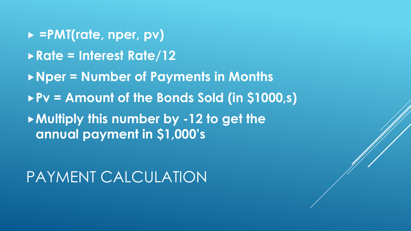**=PMT(rate, nper, pv) Rate = Interest Rate/12 Nper = Number of Payments in Months**

**Pv = Amount of the Bonds Sold (in \$1000,s)**

**Multiply this number by -12 to get the annual payment in \$1,000's**

PAYMENT CALCULATION